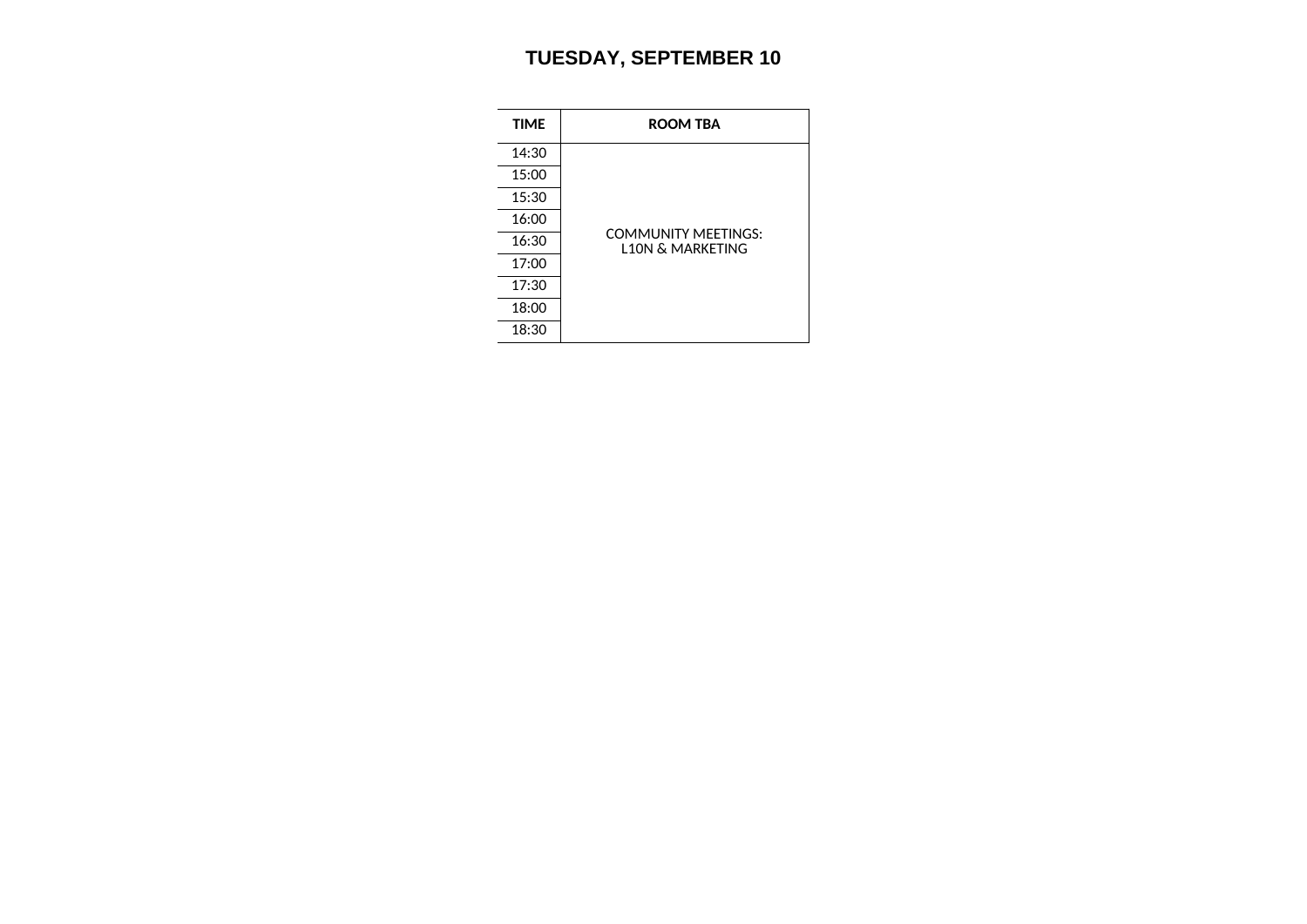## **TUESDAY, SEPTEMBER 10**

| <b>TIME</b> | <b>ROOM TBA</b>                                           |
|-------------|-----------------------------------------------------------|
| 14:30       |                                                           |
| 15:00       |                                                           |
| 15:30       |                                                           |
| 16:00       |                                                           |
| 16:30       | <b>COMMUNITY MEETINGS:</b><br><b>L10N &amp; MARKETING</b> |
| 17:00       |                                                           |
| 17:30       |                                                           |
| 18:00       |                                                           |
| 18:30       |                                                           |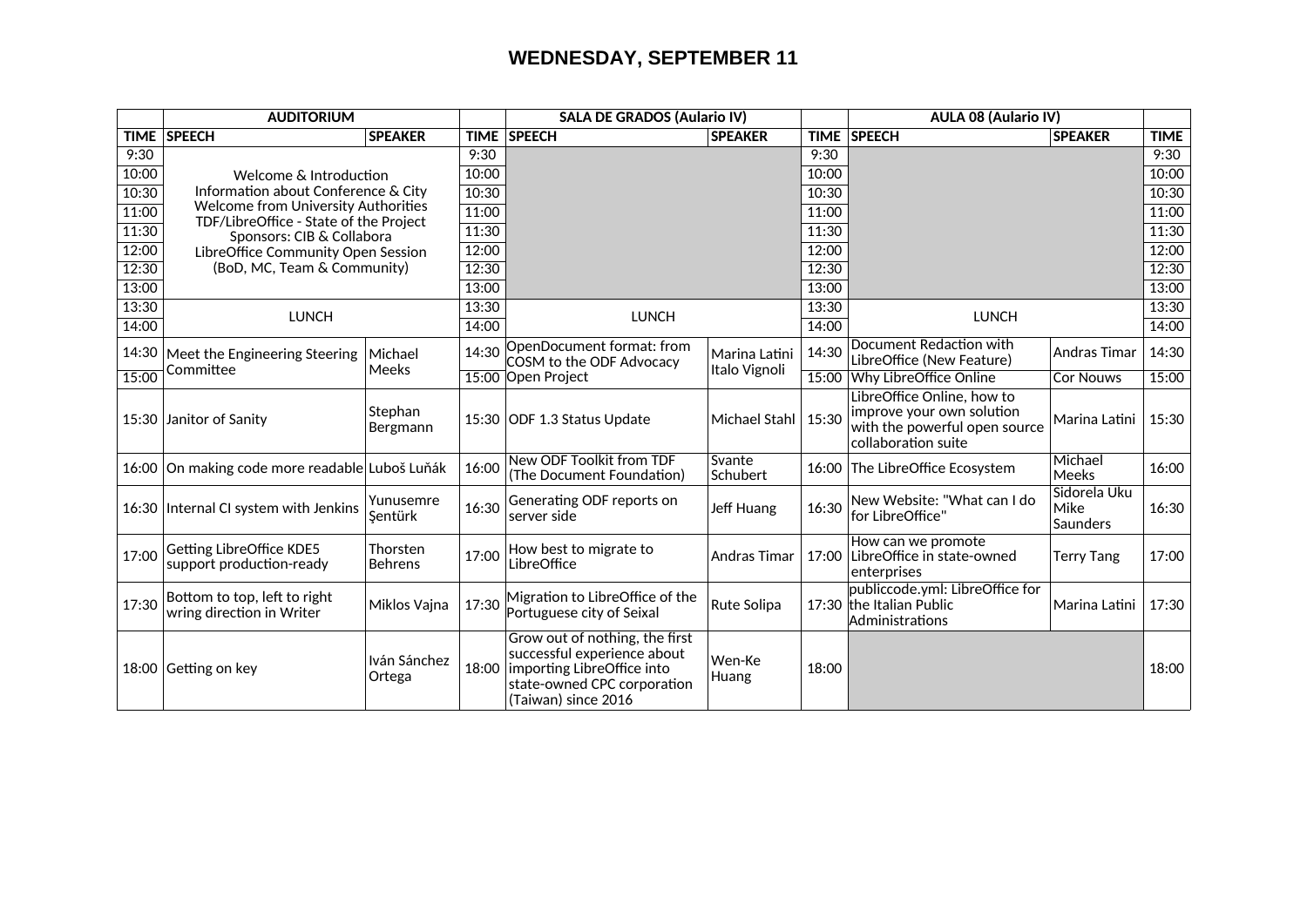## **WEDNESDAY, SEPTEMBER 11**

| <b>AUDITORIUM</b> |                                                                                      |                            |       | <b>SALA DE GRADOS (Aulario IV)</b>                                                                                                                        |                     |       | <b>AULA 08 (Aulario IV)</b>                                                                                     |                                                |             |
|-------------------|--------------------------------------------------------------------------------------|----------------------------|-------|-----------------------------------------------------------------------------------------------------------------------------------------------------------|---------------------|-------|-----------------------------------------------------------------------------------------------------------------|------------------------------------------------|-------------|
| TIME              | <b>SPEECH</b>                                                                        | <b>SPEAKER</b>             |       | TIME   SPEECH                                                                                                                                             | <b>SPEAKER</b>      |       | <b>TIME SPEECH</b>                                                                                              | <b>SPEAKER</b>                                 | <b>TIME</b> |
| 9:30              |                                                                                      |                            | 9:30  |                                                                                                                                                           |                     | 9:30  |                                                                                                                 |                                                | 9:30        |
| 10:00             | Welcome & Introduction                                                               |                            | 10:00 |                                                                                                                                                           |                     | 10:00 |                                                                                                                 |                                                | 10:00       |
| 10:30             | Information about Conference & City                                                  |                            | 10:30 |                                                                                                                                                           |                     | 10:30 |                                                                                                                 |                                                | 10:30       |
| 11:00             | <b>Welcome from University Authorities</b><br>TDF/LibreOffice - State of the Project |                            | 11:00 |                                                                                                                                                           |                     | 11:00 |                                                                                                                 |                                                | 11:00       |
| 11:30             | Sponsors: CIB & Collabora                                                            |                            | 11:30 |                                                                                                                                                           |                     | 11:30 |                                                                                                                 |                                                | 11:30       |
| 12:00             | LibreOffice Community Open Session                                                   |                            | 12:00 |                                                                                                                                                           |                     | 12:00 |                                                                                                                 |                                                | 12:00       |
| 12:30             | (BoD, MC, Team & Community)                                                          |                            | 12:30 |                                                                                                                                                           |                     | 12:30 |                                                                                                                 |                                                | 12:30       |
| 13:00             |                                                                                      |                            | 13:00 |                                                                                                                                                           |                     | 13:00 |                                                                                                                 |                                                | 13:00       |
| 13:30             | <b>LUNCH</b>                                                                         |                            | 13:30 | <b>LUNCH</b>                                                                                                                                              |                     | 13:30 |                                                                                                                 |                                                | 13:30       |
| 14:00             |                                                                                      |                            | 14:00 |                                                                                                                                                           |                     | 14:00 | <b>LUNCH</b>                                                                                                    |                                                | 14:00       |
| 14:30             | Meet the Engineering Steering                                                        | Michael                    | 14:30 | OpenDocument format: from<br>COSM to the ODF Advocacy                                                                                                     | Marina Latini       | 14:30 | Document Redaction with<br>LibreOffice (New Feature)                                                            | <b>Andras Timar</b>                            | 14:30       |
| 15:00             | Committee                                                                            | <b>Meeks</b>               |       | 15:00 Open Project                                                                                                                                        | Italo Vignoli       |       | 15:00 Why LibreOffice Online                                                                                    | <b>Cor Nouws</b>                               | 15:00       |
|                   | 15:30 Janitor of Sanity                                                              | Stephan<br>Bergmann        |       | 15:30 ODF 1.3 Status Update                                                                                                                               | Michael Stahl       | 15:30 | LibreOffice Online, how to<br>improve your own solution<br>with the powerful open source<br>collaboration suite | Marina Latini                                  | 15:30       |
|                   | 16:00 On making code more readable Luboš Luňák                                       |                            | 16:00 | New ODF Toolkit from TDF<br>(The Document Foundation)                                                                                                     | Svante<br>Schubert  |       | 16:00 The LibreOffice Ecosystem                                                                                 | Michael<br><b>Meeks</b>                        | 16:00       |
|                   | 16:30   Internal CI system with Jenkins                                              | Yunusemre<br>Şentürk       | 16:30 | Generating ODF reports on<br>server side                                                                                                                  | Jeff Huang          | 16:30 | New Website: "What can I do<br>for LibreOffice"                                                                 | Sidorela Uku<br><b>Mike</b><br><b>Saunders</b> | 16:30       |
| 17:00             | <b>Getting LibreOffice KDE5</b><br>support production-ready                          | Thorsten<br><b>Behrens</b> | 17:00 | How best to migrate to<br>LibreOffice                                                                                                                     | <b>Andras Timar</b> |       | How can we promote<br>17:00 LibreOffice in state-owned<br>enterprises                                           | Terry Tang                                     | 17:00       |
| 17:30             | Bottom to top, left to right<br>wring direction in Writer                            | Miklos Vajna               | 17:30 | Migration to LibreOffice of the<br>Portuguese city of Seixal                                                                                              | Rute Solipa         |       | publiccode.yml: LibreOffice for<br>17:30 the Italian Public<br>Administrations                                  | Marina Latini                                  | 17:30       |
|                   | 18:00 Getting on key                                                                 | Iván Sánchez<br>Ortega     |       | Grow out of nothing, the first<br>successful experience about<br>18:00   importing LibreOffice into<br>state-owned CPC corporation<br>(Taiwan) since 2016 | Wen-Ke<br>Huang     | 18:00 |                                                                                                                 |                                                | 18:00       |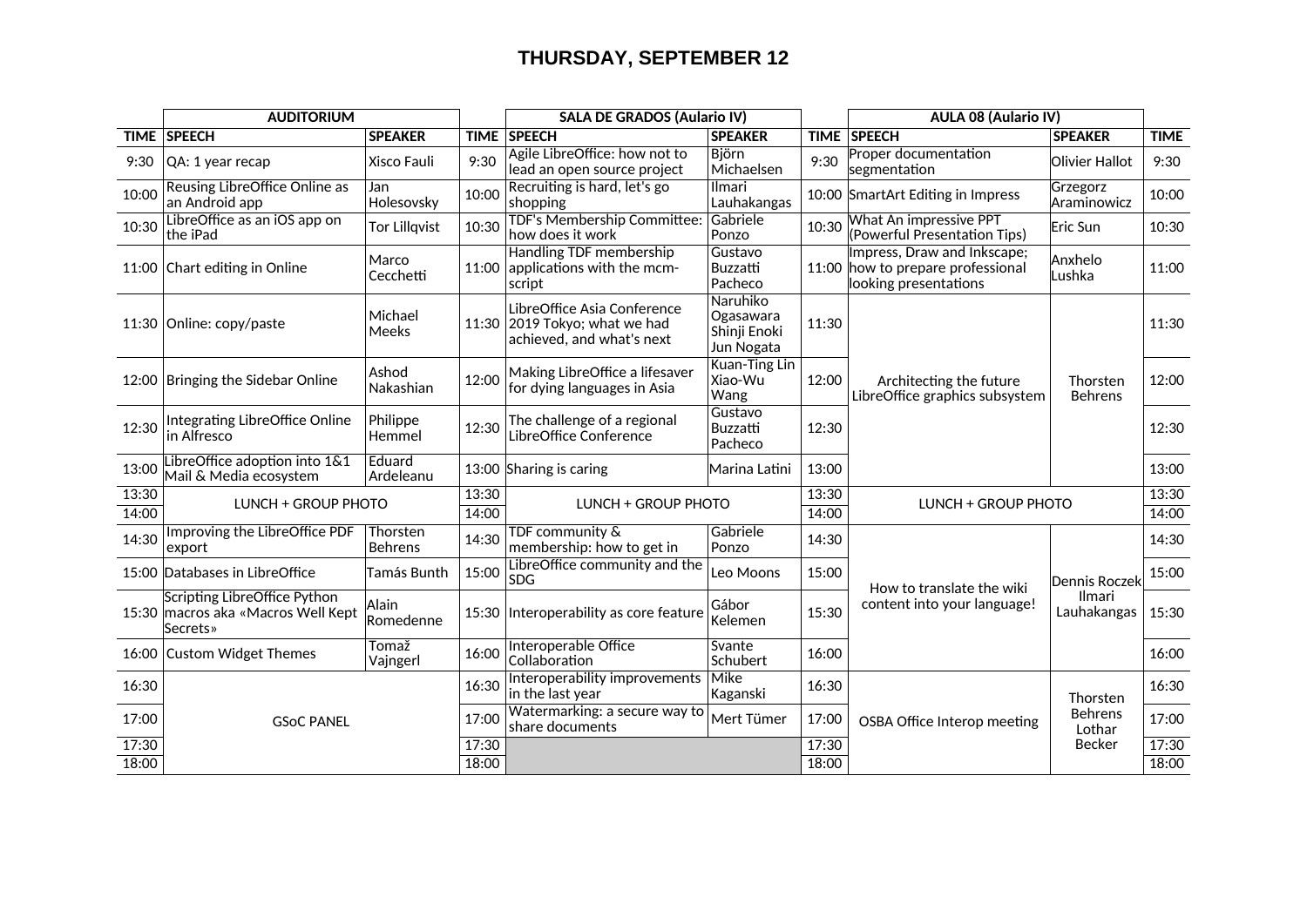## **THURSDAY, SEPTEMBER 12**

|                | <b>AUDITORIUM</b>                                                                      |                            |                | <b>SALA DE GRADOS (Aulario IV)</b>                                                        |                                                     | <b>AULA 08 (Aulario IV)</b>                  |                                                                                           |                            |                |
|----------------|----------------------------------------------------------------------------------------|----------------------------|----------------|-------------------------------------------------------------------------------------------|-----------------------------------------------------|----------------------------------------------|-------------------------------------------------------------------------------------------|----------------------------|----------------|
| <b>TIME</b>    | <b>SPEECH</b>                                                                          | <b>SPEAKER</b>             | <b>TIME</b>    | <b>SPEECH</b>                                                                             | <b>SPEAKER</b>                                      |                                              | TIME SPEECH                                                                               | <b>SPEAKER</b>             | <b>TIME</b>    |
| 9:30           | QA: 1 year recap                                                                       | Xisco Fauli                | 9:30           | Agile LibreOffice: how not to<br>lead an open source project                              | <b>Björn</b><br>Michaelsen                          | 9:30                                         | <b>Proper documentation</b><br>segmentation                                               | Olivier Hallot             | 9:30           |
| 10:00          | Reusing LibreOffice Online as<br>an Android app                                        | Jan<br>Holesovsky          | 10:00          | Recruiting is hard, let's go<br>shopping                                                  | <b>Ilmari</b><br>Lauhakangas                        |                                              | 10:00 SmartArt Editing in Impress                                                         | Grzegorz<br>Araminowicz    | 10:00          |
| 10:30          | LibreOffice as an iOS app on<br>the iPad                                               | <b>Tor Lillqvist</b>       | 10:30          | TDF's Membership Committee:<br>how does it work                                           | Gabriele<br>Ponzo                                   | 10:30                                        | What An impressive PPT<br>(Powerful Presentation Tips)                                    | Eric Sun                   | 10:30          |
|                | 11:00 Chart editing in Online                                                          | Marco<br>Cecchetti         |                | Handling TDF membership<br>11:00 applications with the mcm-<br>script                     | Gustavo<br><b>Buzzatti</b><br>Pacheco               |                                              | Impress, Draw and Inkscape;<br>11:00 how to prepare professional<br>looking presentations | Anxhelo<br>Lushka          | 11:00          |
|                | 11:30 Online: copy/paste                                                               | Michael<br>Meeks           |                | LibreOffice Asia Conference<br>11:30 2019 Tokyo; what we had<br>achieved, and what's next | Naruhiko<br>Ogasawara<br>Shinji Enoki<br>Jun Nogata | 11:30                                        |                                                                                           | Thorsten<br><b>Behrens</b> | 11:30          |
|                | 12:00   Bringing the Sidebar Online                                                    | Ashod<br>Nakashian         | 12:00          | Making LibreOffice a lifesaver<br>for dying languages in Asia                             | Kuan-Ting Lin<br>Xiao-Wu<br>Wang                    | 12:00                                        | Architecting the future<br>LibreOffice graphics subsystem                                 |                            | 12:00          |
| 12:30          | Integrating LibreOffice Online<br>in Alfresco                                          | Philippe<br>Hemmel         | 12:30          | The challenge of a regional<br>LibreOffice Conference                                     | Gustavo<br><b>Buzzatti</b><br>Pacheco               | 12:30                                        |                                                                                           |                            | 12:30          |
| 13:00          | LibreOffice adoption into 1&1<br>Mail & Media ecosystem                                | Eduard<br>Ardeleanu        |                | 13:00 Sharing is caring                                                                   | Marina Latini                                       | 13:00                                        |                                                                                           |                            | 13:00          |
| 13:30<br>14:00 | <b>LUNCH + GROUP PHOTO</b>                                                             |                            | 13:30<br>14:00 | <b>LUNCH + GROUP PHOTO</b>                                                                |                                                     | 13:30<br><b>LUNCH + GROUP PHOTO</b><br>14:00 |                                                                                           |                            | 13:30<br>14:00 |
| 14:30          | Improving the LibreOffice PDF<br>export                                                | Thorsten<br><b>Behrens</b> | 14:30          | TDF community &<br>membership: how to get in                                              | Gabriele<br>Ponzo                                   | 14:30                                        |                                                                                           |                            | 14:30          |
|                | 15:00 Databases in LibreOffice                                                         | <b>Tamás Bunth</b>         | 15:00          | LibreOffice community and the<br><b>SDG</b>                                               | Leo Moons                                           | 15:00                                        |                                                                                           | <b>Dennis Roczek</b>       | 15:00          |
|                | Scripting LibreOffice Python<br>15:30 macros aka «Macros Well Kept<br><b>Secrets</b> » | Alain<br>Romedenne         |                | 15:30 Interoperability as core feature                                                    | Gábor<br>Kelemen                                    | 15:30                                        | How to translate the wiki<br>content into your language!                                  | Ilmari<br>Lauhakangas      | 15:30          |
|                | 16:00 Custom Widget Themes                                                             | Tomaž<br>Vajngerl          | 16:00          | Interoperable Office<br>Collaboration                                                     | Svante<br>Schubert                                  | 16:00                                        |                                                                                           |                            | 16:00          |
| 16:30          |                                                                                        |                            | 16:30          | Interoperability improvements<br>in the last year                                         | Mike<br>Kaganski                                    | 16:30                                        |                                                                                           | Thorsten                   | 16:30          |
| 17:00          | <b>GSoC PANEL</b>                                                                      |                            | 17:00          | Watermarking: a secure way to<br>share documents                                          | Mert Tümer                                          | 17:00                                        | OSBA Office Interop meeting                                                               | <b>Behrens</b><br>Lothar   | 17:00          |
| 17:30          |                                                                                        |                            | 17:30          |                                                                                           |                                                     | 17:30                                        |                                                                                           | <b>Becker</b>              | 17:30          |
| 18:00          |                                                                                        |                            | 18:00          |                                                                                           |                                                     | 18:00                                        |                                                                                           |                            | 18:00          |